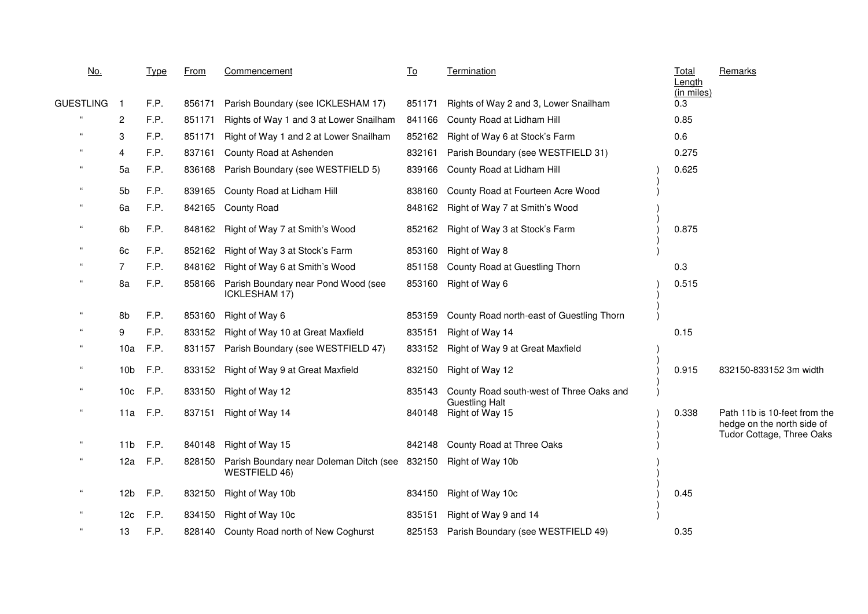| <u>No.</u>                 |                 | <b>Type</b> | From   | Commencement                                                                                   | <u>To</u> | <b>Termination</b>                        | <b>Total</b><br>Length | Remarks                                                                                 |
|----------------------------|-----------------|-------------|--------|------------------------------------------------------------------------------------------------|-----------|-------------------------------------------|------------------------|-----------------------------------------------------------------------------------------|
| GUESTLING                  | -1              | F.P.        | 856171 | Parish Boundary (see ICKLESHAM 17)                                                             | 851171    | Rights of Way 2 and 3, Lower Snailham     | (in miles)<br>0.3      |                                                                                         |
| $\epsilon\epsilon$         | $\overline{2}$  | F.P.        | 851171 | Rights of Way 1 and 3 at Lower Snailham                                                        | 841166    | County Road at Lidham Hill                | 0.85                   |                                                                                         |
|                            | 3               | F.P.        | 851171 | Right of Way 1 and 2 at Lower Snailham                                                         | 852162    | Right of Way 6 at Stock's Farm            | 0.6                    |                                                                                         |
|                            | 4               | F.P.        | 837161 | County Road at Ashenden                                                                        | 832161    | Parish Boundary (see WESTFIELD 31)        | 0.275                  |                                                                                         |
|                            | 5a              | F.P.        | 836168 | Parish Boundary (see WESTFIELD 5)                                                              | 839166    | County Road at Lidham Hill                | 0.625                  |                                                                                         |
| $\epsilon$                 | 5 <sub>b</sub>  | F.P.        |        | 839165 County Road at Lidham Hill                                                              | 838160    | County Road at Fourteen Acre Wood         |                        |                                                                                         |
|                            | 6a              | F.P.        |        | 842165 County Road                                                                             | 848162    | Right of Way 7 at Smith's Wood            |                        |                                                                                         |
| $\alpha$                   | 6b              | F.P.        |        | 848162 Right of Way 7 at Smith's Wood                                                          | 852162    | Right of Way 3 at Stock's Farm            | 0.875                  |                                                                                         |
| $\mathfrak{c}\mathfrak{c}$ | 6c              | F.P.        | 852162 | Right of Way 3 at Stock's Farm                                                                 | 853160    | Right of Way 8                            |                        |                                                                                         |
| $\mathfrak{c}\mathfrak{c}$ | 7               | F.P.        | 848162 | Right of Way 6 at Smith's Wood                                                                 | 851158    | County Road at Guestling Thorn            | 0.3                    |                                                                                         |
| $\alpha$                   | 8a              | F.P.        | 858166 | Parish Boundary near Pond Wood (see<br><b>ICKLESHAM 17)</b>                                    | 853160    | Right of Way 6                            | 0.515                  |                                                                                         |
| $\mathfrak{c}\mathfrak{c}$ | 8b              | F.P.        | 853160 | Right of Way 6                                                                                 | 853159    | County Road north-east of Guestling Thorn |                        |                                                                                         |
|                            | 9               | F.P.        | 833152 | Right of Way 10 at Great Maxfield                                                              | 835151    | Right of Way 14                           | 0.15                   |                                                                                         |
|                            | 10a             | F.P.        |        | 831157 Parish Boundary (see WESTFIELD 47)                                                      | 833152    | Right of Way 9 at Great Maxfield          |                        |                                                                                         |
| $\epsilon$                 | 10 <sub>b</sub> | F.P.        |        | 833152 Right of Way 9 at Great Maxfield                                                        | 832150    | Right of Way 12                           | 0.915                  | 832150-833152 3m width                                                                  |
| $\epsilon$                 | 10 <sub>c</sub> | F.P.        | 833150 | Right of Way 12                                                                                | 835143    | County Road south-west of Three Oaks and  |                        |                                                                                         |
| $\epsilon$                 | 11a             | F.P.        |        | 837151 Right of Way 14                                                                         | 840148    | <b>Guestling Halt</b><br>Right of Way 15  | 0.338                  | Path 11b is 10-feet from the<br>hedge on the north side of<br>Tudor Cottage, Three Oaks |
| $\alpha$                   | 11 <sub>b</sub> | F.P.        |        | 840148 Right of Way 15                                                                         | 842148    | County Road at Three Oaks                 |                        |                                                                                         |
| $\alpha$                   | 12a             | F.P.        |        | 828150 Parish Boundary near Doleman Ditch (see 832150 Right of Way 10b<br><b>WESTFIELD 46)</b> |           |                                           |                        |                                                                                         |
| $\alpha$                   | 12 <sub>b</sub> | F.P.        | 832150 | Right of Way 10b                                                                               | 834150    | Right of Way 10c                          | 0.45                   |                                                                                         |
| $\epsilon$                 | 12 <sub>c</sub> | F.P.        | 834150 | Right of Way 10c                                                                               | 835151    | Right of Way 9 and 14                     |                        |                                                                                         |
| $\mathfrak{c}\mathfrak{c}$ | 13              | F.P.        |        | 828140 County Road north of New Coghurst                                                       | 825153    | Parish Boundary (see WESTFIELD 49)        | 0.35                   |                                                                                         |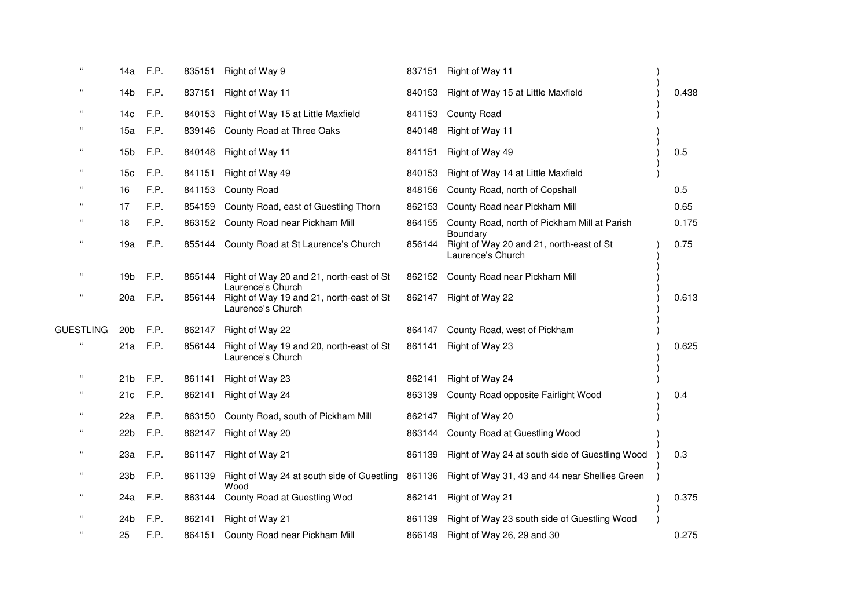| $\alpha$                   | 14a             | F.P.     |        | 835151 Right of Way 9                                                              | 837151 | Right of Way 11                                                           |       |
|----------------------------|-----------------|----------|--------|------------------------------------------------------------------------------------|--------|---------------------------------------------------------------------------|-------|
|                            | 14b             | F.P.     | 837151 | Right of Way 11                                                                    | 840153 | Right of Way 15 at Little Maxfield                                        | 0.438 |
|                            | 14 <sub>c</sub> | F.P.     | 840153 | Right of Way 15 at Little Maxfield                                                 | 841153 | County Road                                                               |       |
|                            | 15a             | F.P.     | 839146 | County Road at Three Oaks                                                          | 840148 | Right of Way 11                                                           |       |
| $\epsilon$                 | 15 <sub>b</sub> | F.P.     | 840148 | Right of Way 11                                                                    | 841151 | Right of Way 49                                                           | 0.5   |
| $\epsilon$                 | 15c             | F.P.     | 841151 | Right of Way 49                                                                    | 840153 | Right of Way 14 at Little Maxfield                                        |       |
| $^{16}$                    | 16              | F.P.     | 841153 | <b>County Road</b>                                                                 | 848156 | County Road, north of Copshall                                            | 0.5   |
|                            | 17              | F.P.     | 854159 | County Road, east of Guestling Thorn                                               | 862153 | County Road near Pickham Mill                                             | 0.65  |
|                            | 18              | F.P.     |        | 863152 County Road near Pickham Mill                                               | 864155 | County Road, north of Pickham Mill at Parish                              | 0.175 |
|                            | 19a             | F.P.     | 855144 | County Road at St Laurence's Church                                                | 856144 | Boundary<br>Right of Way 20 and 21, north-east of St<br>Laurence's Church | 0.75  |
| $\mathfrak{c}\mathfrak{c}$ | 19b             | F.P.     | 865144 | Right of Way 20 and 21, north-east of St                                           |        | 862152 County Road near Pickham Mill                                      |       |
|                            | 20a             | F.P.     | 856144 | Laurence's Church<br>Right of Way 19 and 21, north-east of St<br>Laurence's Church | 862147 | Right of Way 22                                                           | 0.613 |
| <b>GUESTLING</b>           | 20 <sub>b</sub> | F.P.     | 862147 | Right of Way 22                                                                    | 864147 | County Road, west of Pickham                                              |       |
|                            |                 | 21a F.P. | 856144 | Right of Way 19 and 20, north-east of St<br>Laurence's Church                      | 861141 | Right of Way 23                                                           | 0.625 |
| $\epsilon$                 |                 | 21b F.P. | 861141 | Right of Way 23                                                                    | 862141 | Right of Way 24                                                           |       |
|                            | 21c             | F.P.     | 862141 | Right of Way 24                                                                    | 863139 | County Road opposite Fairlight Wood                                       | 0.4   |
| $\epsilon$                 | 22a             | F.P.     | 863150 | County Road, south of Pickham Mill                                                 | 862147 | Right of Way 20                                                           |       |
|                            | 22 <sub>b</sub> | F.P.     | 862147 | Right of Way 20                                                                    | 863144 | County Road at Guestling Wood                                             |       |
| $\mathfrak{c}\mathfrak{c}$ | 23a             | F.P.     |        | 861147 Right of Way 21                                                             | 861139 | Right of Way 24 at south side of Guestling Wood                           | 0.3   |
| $\epsilon$                 | 23 <sub>b</sub> | F.P.     | 861139 | Right of Way 24 at south side of Guestling<br>Wood                                 | 861136 | Right of Way 31, 43 and 44 near Shellies Green                            |       |
|                            | 24a             | F.P.     | 863144 | County Road at Guestling Wod                                                       | 862141 | Right of Way 21                                                           | 0.375 |
|                            | 24 <sub>b</sub> | F.P.     | 862141 | Right of Way 21                                                                    | 861139 | Right of Way 23 south side of Guestling Wood                              |       |
|                            | 25              | F.P.     |        | 864151 County Road near Pickham Mill                                               | 866149 | Right of Way 26, 29 and 30                                                | 0.275 |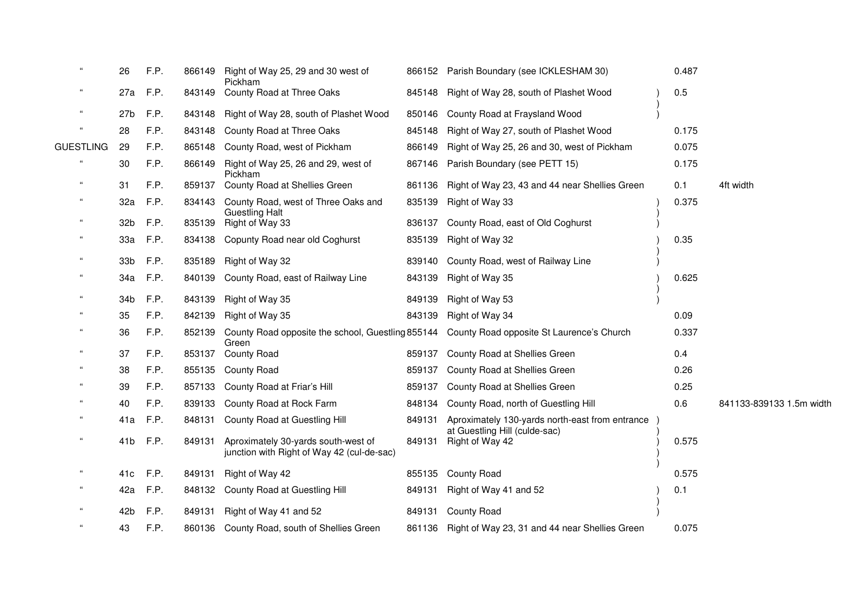| $\epsilon$                 | 26              | F.P. |        | 866149 Right of Way 25, 29 and 30 west of<br>Pickham                              |        | 866152 Parish Boundary (see ICKLESHAM 30)                                                          | 0.487 |                          |
|----------------------------|-----------------|------|--------|-----------------------------------------------------------------------------------|--------|----------------------------------------------------------------------------------------------------|-------|--------------------------|
| $\epsilon$                 | 27a             | F.P. |        | 843149 County Road at Three Oaks                                                  |        | 845148 Right of Way 28, south of Plashet Wood                                                      | 0.5   |                          |
| $\mathfrak{g}$             | 27 <sub>b</sub> | F.P. |        | 843148 Right of Way 28, south of Plashet Wood                                     | 850146 | County Road at Fraysland Wood                                                                      |       |                          |
| $\epsilon$                 | 28              | F.P. | 843148 | County Road at Three Oaks                                                         | 845148 | Right of Way 27, south of Plashet Wood                                                             | 0.175 |                          |
| <b>GUESTLING</b>           | -29             | F.P. | 865148 | County Road, west of Pickham                                                      | 866149 | Right of Way 25, 26 and 30, west of Pickham                                                        | 0.075 |                          |
| $\alpha$                   | 30              | F.P. |        | 866149 Right of Way 25, 26 and 29, west of<br>Pickham                             | 867146 | Parish Boundary (see PETT 15)                                                                      | 0.175 |                          |
| $\alpha$                   | 31              | F.P. | 859137 | County Road at Shellies Green                                                     | 861136 | Right of Way 23, 43 and 44 near Shellies Green                                                     | 0.1   | 4ft width                |
| $\mathfrak{c}\mathfrak{c}$ | 32a             | F.P. |        | 834143 County Road, west of Three Oaks and<br><b>Guestling Halt</b>               | 835139 | Right of Way 33                                                                                    | 0.375 |                          |
| $\epsilon$                 | 32 <sub>b</sub> | F.P. |        | 835139 Right of Way 33                                                            | 836137 | County Road, east of Old Coghurst                                                                  |       |                          |
| $\alpha$                   | 33a             | F.P. |        | 834138 Copunty Road near old Coghurst                                             | 835139 | Right of Way 32                                                                                    | 0.35  |                          |
| $\epsilon$                 | 33 <sub>b</sub> | F.P. |        | 835189 Right of Way 32                                                            | 839140 | County Road, west of Railway Line                                                                  |       |                          |
| $\alpha$                   | 34a             | F.P. | 840139 | County Road, east of Railway Line                                                 | 843139 | Right of Way 35                                                                                    | 0.625 |                          |
| $\epsilon$                 | 34 <sub>b</sub> | F.P. | 843139 | Right of Way 35                                                                   | 849139 | Right of Way 53                                                                                    |       |                          |
| $\epsilon$                 | 35              | F.P. |        | 842139 Right of Way 35                                                            | 843139 | Right of Way 34                                                                                    | 0.09  |                          |
| $\mathfrak{c}\mathfrak{c}$ | 36              | F.P. |        | Green                                                                             |        | 852139 County Road opposite the school, Guestling 855144 County Road opposite St Laurence's Church | 0.337 |                          |
| $\epsilon$                 | 37              | F.P. |        | 853137 County Road                                                                | 859137 | County Road at Shellies Green                                                                      | 0.4   |                          |
| $\mathfrak{c}\mathfrak{c}$ | 38              | F.P. |        | 855135 County Road                                                                | 859137 | County Road at Shellies Green                                                                      | 0.26  |                          |
|                            | 39              | F.P. | 857133 | County Road at Friar's Hill                                                       | 859137 | County Road at Shellies Green                                                                      | 0.25  |                          |
|                            | 40              | F.P. |        | 839133 County Road at Rock Farm                                                   | 848134 | County Road, north of Guestling Hill                                                               | 0.6   | 841133-839133 1.5m width |
| $\epsilon$                 | 41a             | F.P. | 848131 | County Road at Guestling Hill                                                     | 849131 | Aproximately 130-yards north-east from entrance                                                    |       |                          |
| $\mathfrak{g}$             | 41 <sub>b</sub> | F.P. | 849131 | Aproximately 30-yards south-west of<br>junction with Right of Way 42 (cul-de-sac) | 849131 | at Guestling Hill (culde-sac)<br>Right of Way 42                                                   | 0.575 |                          |
| $\epsilon$                 | 41c             | F.P. |        | 849131 Right of Way 42                                                            |        | 855135 County Road                                                                                 | 0.575 |                          |
| $\epsilon$                 | 42a             | F.P. |        | 848132 County Road at Guestling Hill                                              | 849131 | Right of Way 41 and 52                                                                             | 0.1   |                          |
| $\alpha$                   | 42b             | F.P. |        | 849131 Right of Way 41 and 52                                                     | 849131 | <b>County Road</b>                                                                                 |       |                          |
| $\epsilon$                 | 43              | F.P. |        | 860136 County Road, south of Shellies Green                                       |        | 861136 Right of Way 23, 31 and 44 near Shellies Green                                              | 0.075 |                          |